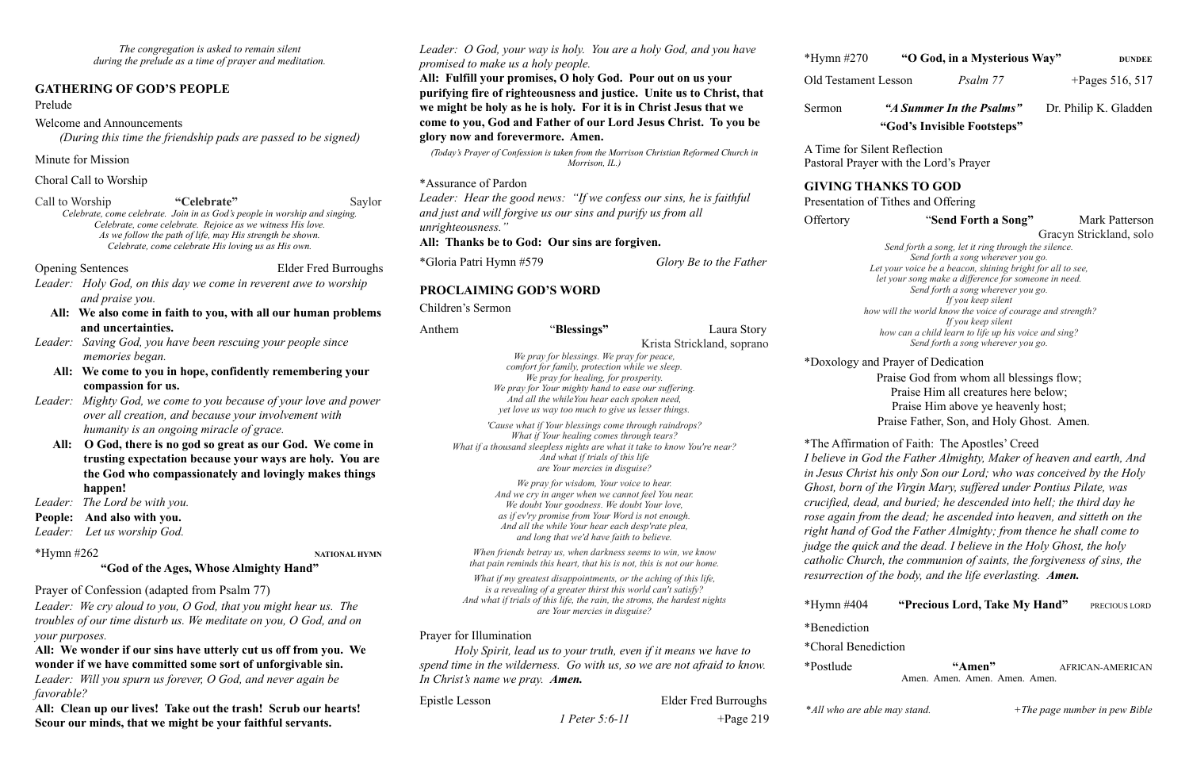*The congregation is asked to remain silent during the prelude as a time of prayer and meditation.*

#### **GATHERING OF GOD'S PEOPLE**

Prelude

Welcome and Announcements

*(During this time the friendship pads are passed to be signed)* 

#### Minute for Mission

#### Choral Call to Worship

Call to Worship **"Celebrate"** Saylor *Celebrate, come celebrate. Join in as God's people in worship and singing. Celebrate, come celebrate. Rejoice as we witness His love. As we follow the path of life, may His strength be shown. Celebrate, come celebrate His loving us as His own.* 

#### Opening Sentences Elder Fred Burroughs

- *Leader: Holy God, on this day we come in reverent awe to worship and praise you.*
	- **All: We also come in faith to you, with all our human problems and uncertainties.**
- *Leader: Saving God, you have been rescuing your people since memories began.*
	- **All:****We come to you in hope, confidently remembering your compassion for us.**
- *Leader: Mighty God, we come to you because of your love and power over all creation, and because your involvement with humanity is an ongoing miracle of grace.*
	- **All: O God, there is no god so great as our God. We come in trusting expectation because your ways are holy. You are the God who compassionately and lovingly makes things happen!**
- *Leader: The Lord be with you.*
- **People: And also with you.**
- *Leader: Let us worship God.*

\*Hymn #262 **NATIONAL HYMN**

#### **"God of the Ages, Whose Almighty Hand"**

Prayer of Confession (adapted from Psalm 77)

*Leader: We cry aloud to you, O God, that you might hear us. The troubles of our time disturb us. We meditate on you, O God, and on your purposes.* 

### **All: We wonder if our sins have utterly cut us off from you. We wonder if we have committed some sort of unforgivable sin.**

*Leader: Will you spurn us forever, O God, and never again be favorable?* 

**All: Clean up our lives! Take out the trash! Scrub our hearts! Scour our minds, that we might be your faithful servants.** 

*Leader: O God, your way is holy. You are a holy God, and you have promised to make us a holy people.* 

**All: Fulfill your promises, O holy God. Pour out on us your purifying fire of righteousness and justice. Unite us to Christ, that we might be holy as he is holy. For it is in Christ Jesus that we come to you, God and Father of our Lord Jesus Christ. To you be glory now and forevermore. Amen.**

*(Today's Prayer of Confession is taken from the Morrison Christian Reformed Church in Morrison, IL.)*

\*Assurance of Pardon

*Leader: Hear the good news: "If we confess our sins, he is faithful and just and will forgive us our sins and purify us from all unrighteousness."* 

 Praise Father, Son, and Holy Ghost. Amen. rmation of Faith: The Apostles' Creed *In God the Father Almighty, Maker of heaven and earth, And Ihrist his only Son our Lord; who was conceived by the Holy Filler of the Virgin Mary, suffered under Pontius Pilate, was crucified, dead, and buried; he descended into hell; the third day he r* from the dead; he ascended into heaven, and sitteth on the *right hand of God the Father Almighty; from thence he shall come to judge the quick and the dead. I believe in the Holy Ghost, the holy Church, the communion of saints, the forgiveness of sins, the* 

404 **"Precious Lord, Take My Hand"** PRECIOUS LORD

**All: Thanks be to God: Our sins are forgiven.** 

\*Gloria Patri Hymn #579 *Glory Be to the Father* 

#### **PROCLAIMING GOD'S WORD**

Children's Sermon

"Amen" **AFRICAN-AMERICAN** Amen. Amen. Amen. Amen. Amen.

*In Christ's name we pray. Amen.*

Epistle Lesson Elder Fred Burroughs  *1 Peter 5:6-11* +Page 219

\*Hymn #270 **"O God, in a Mysterious Way" DUNDEE**

Old Testament Lesson *Psalm 77* + Pages 516, 517

| Anthem                                                                                                                                                                                                        | "Blessings"                                                                                                                                                                                                                                                                                                                                                                                                                                                                                                                                                                                                                                                                                                                                           | Laura Story                |                                                                                                                                                                                                                                                                                                                                                                                                                                                                                                                                              | 11 you keep suent<br>how can a child learn to life up his voice and sing? |             |
|---------------------------------------------------------------------------------------------------------------------------------------------------------------------------------------------------------------|-------------------------------------------------------------------------------------------------------------------------------------------------------------------------------------------------------------------------------------------------------------------------------------------------------------------------------------------------------------------------------------------------------------------------------------------------------------------------------------------------------------------------------------------------------------------------------------------------------------------------------------------------------------------------------------------------------------------------------------------------------|----------------------------|----------------------------------------------------------------------------------------------------------------------------------------------------------------------------------------------------------------------------------------------------------------------------------------------------------------------------------------------------------------------------------------------------------------------------------------------------------------------------------------------------------------------------------------------|---------------------------------------------------------------------------|-------------|
|                                                                                                                                                                                                               |                                                                                                                                                                                                                                                                                                                                                                                                                                                                                                                                                                                                                                                                                                                                                       | Krista Strickland, soprano |                                                                                                                                                                                                                                                                                                                                                                                                                                                                                                                                              | Send forth a song wherever you go.                                        |             |
|                                                                                                                                                                                                               | We pray for blessings. We pray for peace,<br>comfort for family, protection while we sleep.                                                                                                                                                                                                                                                                                                                                                                                                                                                                                                                                                                                                                                                           |                            | *Doxology and Prayer of Dedication                                                                                                                                                                                                                                                                                                                                                                                                                                                                                                           |                                                                           |             |
| We pray for healing, for prosperity.<br>We pray for Your mighty hand to ease our suffering.<br>And all the while You hear each spoken need,                                                                   |                                                                                                                                                                                                                                                                                                                                                                                                                                                                                                                                                                                                                                                                                                                                                       |                            | Praise God from whom all blessings flow<br>Praise Him all creatures here below;                                                                                                                                                                                                                                                                                                                                                                                                                                                              |                                                                           |             |
|                                                                                                                                                                                                               | yet love us way too much to give us lesser things.<br>'Cause what if Your blessings come through raindrops?<br>What if Your healing comes through tears?<br>What if a thousand sleepless nights are what it take to know You're near?<br>And what if trials of this life<br>are Your mercies in disguise?<br>We pray for wisdom, Your voice to hear.<br>And we cry in anger when we cannot feel You near.<br>We doubt Your goodness. We doubt Your love,<br>as if ev'ry promise from Your Word is not enough.<br>And all the while Your hear each desp'rate plea,<br>and long that we'd have faith to believe.<br>When friends betray us, when darkness seems to win, we know<br>that pain reminds this heart, that his is not, this is not our home. |                            | Praise Him above ye heavenly host;                                                                                                                                                                                                                                                                                                                                                                                                                                                                                                           |                                                                           |             |
|                                                                                                                                                                                                               |                                                                                                                                                                                                                                                                                                                                                                                                                                                                                                                                                                                                                                                                                                                                                       |                            | Praise Father, Son, and Holy Ghost. Ame                                                                                                                                                                                                                                                                                                                                                                                                                                                                                                      |                                                                           |             |
|                                                                                                                                                                                                               |                                                                                                                                                                                                                                                                                                                                                                                                                                                                                                                                                                                                                                                                                                                                                       |                            | *The Affirmation of Faith: The Apostles' Creed<br>I believe in God the Father Almighty, Maker of heaven a<br>in Jesus Christ his only Son our Lord; who was conceive<br>Ghost, born of the Virgin Mary, suffered under Pontius P<br>crucified, dead, and buried; he descended into hell; the t<br>rose again from the dead; he ascended into heaven, and<br>right hand of God the Father Almighty; from thence he s<br>judge the quick and the dead. I believe in the Holy Ghost<br>catholic Church, the communion of saints, the forgivenes |                                                                           |             |
|                                                                                                                                                                                                               |                                                                                                                                                                                                                                                                                                                                                                                                                                                                                                                                                                                                                                                                                                                                                       |                            |                                                                                                                                                                                                                                                                                                                                                                                                                                                                                                                                              |                                                                           |             |
|                                                                                                                                                                                                               |                                                                                                                                                                                                                                                                                                                                                                                                                                                                                                                                                                                                                                                                                                                                                       |                            |                                                                                                                                                                                                                                                                                                                                                                                                                                                                                                                                              |                                                                           |             |
| What if my greatest disappointments, or the aching of this life,<br>is a revealing of a greater thirst this world can't satisfy?<br>And what if trials of this life, the rain, the stroms, the hardest nights |                                                                                                                                                                                                                                                                                                                                                                                                                                                                                                                                                                                                                                                                                                                                                       |                            |                                                                                                                                                                                                                                                                                                                                                                                                                                                                                                                                              | resurrection of the body, and the life everlasting. Amen.                 |             |
|                                                                                                                                                                                                               | are Your mercies in disguise?                                                                                                                                                                                                                                                                                                                                                                                                                                                                                                                                                                                                                                                                                                                         |                            | $*Hymn$ #404                                                                                                                                                                                                                                                                                                                                                                                                                                                                                                                                 | "Precious Lord, Take My Hand"                                             |             |
|                                                                                                                                                                                                               |                                                                                                                                                                                                                                                                                                                                                                                                                                                                                                                                                                                                                                                                                                                                                       |                            | *Benediction                                                                                                                                                                                                                                                                                                                                                                                                                                                                                                                                 |                                                                           |             |
| Prayer for Illumination<br>Holy Spirit, lead us to your truth, even if it means we have to                                                                                                                    |                                                                                                                                                                                                                                                                                                                                                                                                                                                                                                                                                                                                                                                                                                                                                       |                            | *Choral Benediction                                                                                                                                                                                                                                                                                                                                                                                                                                                                                                                          |                                                                           |             |
|                                                                                                                                                                                                               | spend time in the wilderness. Go with us, so we are not afraid to know.                                                                                                                                                                                                                                                                                                                                                                                                                                                                                                                                                                                                                                                                               |                            | *Postlude                                                                                                                                                                                                                                                                                                                                                                                                                                                                                                                                    | "Amen"                                                                    | <b>AFRI</b> |

Sermon *"A Summer In the Psalms"*Dr. Philip K. Gladden **"God's Invisible Footsteps"**

A Time for Silent Reflection Pastoral Prayer with the Lord's Prayer

#### **GIVING THANKS TO GOD**

Presentation of Tithes and Offering

#### Offertory **"Send Forth a Song"** Mark Patterson

Gracyn Strickland, solo

*Send forth a song, let it ring through the silence. Send forth a song wherever you go. Let your voice be a beacon, shining bright for all to see, let your song make a difference for someone in need. Send forth a song wherever you go. If you keep silent how will the world know the voice of courage and strength? If you keep silent how can a child learn to life up his voice and sing? Send forth a song wherever you go.* 

\**All who are able may stand. +The page number in pew Bible*